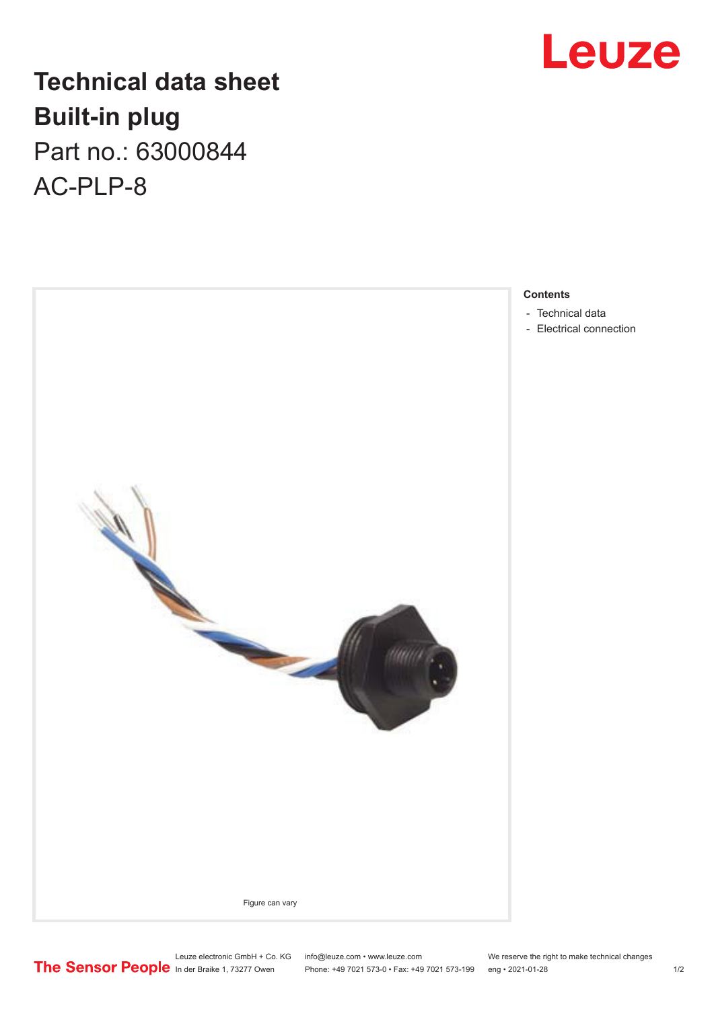## Leuze

## **Technical data sheet Built-in plug** Part no.: 63000844

AC-PLP-8



**Contents**

- [Technical data](#page-1-0)
- [Electrical connection](#page-1-0)

Leuze electronic GmbH + Co. KG info@leuze.com • www.leuze.com We reserve the right to make technical changes In der Braike 1, 73277 Owen Phone: +49 7021 573-0 • Fax: +49 7021 573-199 eng • 2021-01-28 1/2